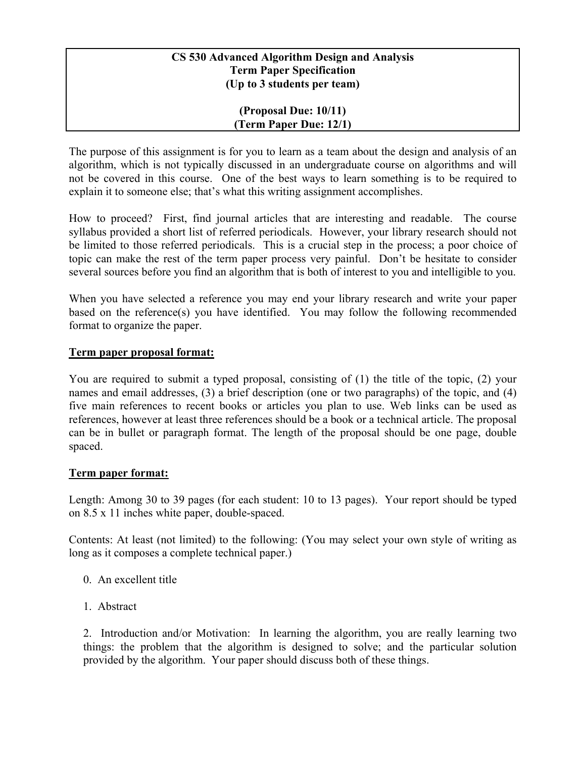### **CS 530 Advanced Algorithm Design and Analysis Term Paper Specification (Up to 3 students per team)**

#### **(Proposal Due: 10/11) (Term Paper Due: 12/1)**

The purpose of this assignment is for you to learn as a team about the design and analysis of an algorithm, which is not typically discussed in an undergraduate course on algorithms and will not be covered in this course. One of the best ways to learn something is to be required to explain it to someone else; that's what this writing assignment accomplishes.

How to proceed? First, find journal articles that are interesting and readable. The course syllabus provided a short list of referred periodicals. However, your library research should not be limited to those referred periodicals. This is a crucial step in the process; a poor choice of topic can make the rest of the term paper process very painful. Don't be hesitate to consider several sources before you find an algorithm that is both of interest to you and intelligible to you.

When you have selected a reference you may end your library research and write your paper based on the reference(s) you have identified. You may follow the following recommended format to organize the paper.

### **Term paper proposal format:**

You are required to submit a typed proposal, consisting of (1) the title of the topic, (2) your names and email addresses, (3) a brief description (one or two paragraphs) of the topic, and (4) five main references to recent books or articles you plan to use. Web links can be used as references, however at least three references should be a book or a technical article. The proposal can be in bullet or paragraph format. The length of the proposal should be one page, double spaced.

# **Term paper format:**

Length: Among 30 to 39 pages (for each student: 10 to 13 pages). Your report should be typed on 8.5 x 11 inches white paper, double-spaced.

Contents: At least (not limited) to the following: (You may select your own style of writing as long as it composes a complete technical paper.)

- 0. An excellent title
- 1. Abstract

2. Introduction and/or Motivation: In learning the algorithm, you are really learning two things: the problem that the algorithm is designed to solve; and the particular solution provided by the algorithm. Your paper should discuss both of these things.